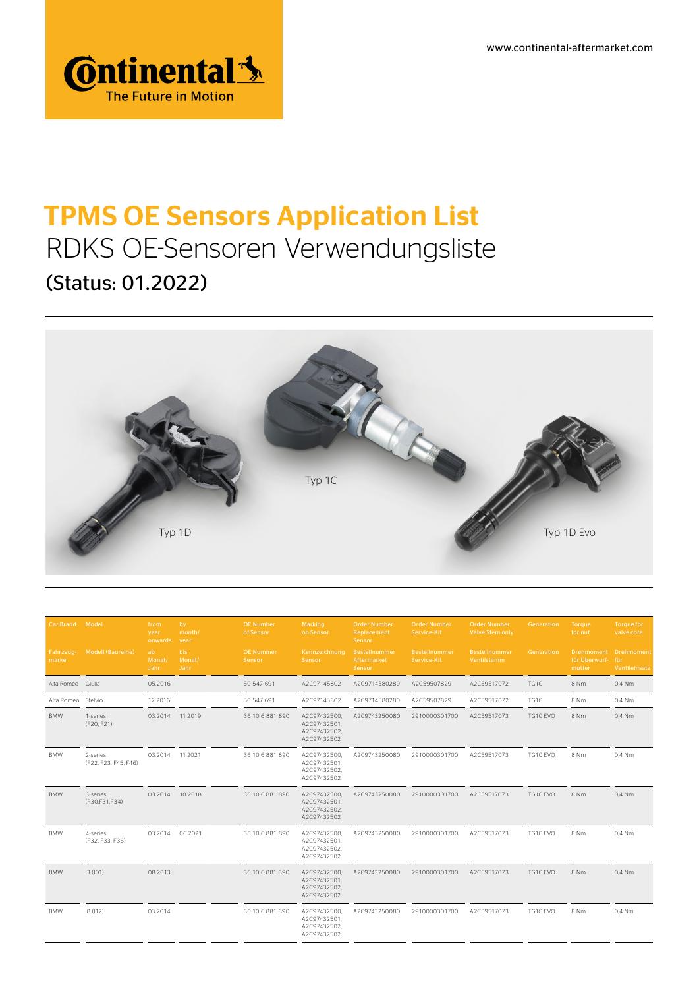www.continental-aftermarket.com



## TPMS OE Sensors Application List RDKS OE-Sensoren Verwendungsliste (Status: 01.2022)



| Car Brand          | Model                            | from<br>year<br>onwards | by<br>month/<br>year   | <b>OE Number</b><br>of Sensor | Marking<br>on Sensor                                        | <b>Order Number</b><br>Replacement<br>Sensor | <b>Order Number</b><br>Service-Kit | <b>Order Number</b><br><b>Valve Stem only</b> | Generation | Torque<br>for nut          | <b>Torque for</b><br>valve core        |
|--------------------|----------------------------------|-------------------------|------------------------|-------------------------------|-------------------------------------------------------------|----------------------------------------------|------------------------------------|-----------------------------------------------|------------|----------------------------|----------------------------------------|
| Fahrzeug-<br>marke | Modell (Baureihe)                | ab<br>Monat/<br>Jahr    | bis.<br>Monat/<br>Jahr | <b>OE Nummer</b><br>Sensor    | Kennzeichnung<br>Sensor                                     | Bestellnummer<br>Aftermarket<br>Sensor       | Bestellnummer<br>Service-Kit       | Bestellnummer<br>Ventilstamm                  | Generation | für Überwurf-für<br>mutter | Drehmoment Drehmoment<br>Ventileinsatz |
| Alfa Romeo         | Giulia                           | 05.2016                 |                        | 50 547 691                    | A2C97145802                                                 | A2C9714580280                                | A2C59507829                        | A2C59517072                                   | TG1C       | 8 Nm                       | 0.4 Nm                                 |
| Alfa Romeo Stelvio |                                  | 12.2016                 |                        | 50 547 691                    | A2C97145802                                                 | A2C9714580280                                | A2C59507829                        | A2C59517072                                   | TG1C       | 8 Nm                       | 0,4 Nm                                 |
| <b>BMW</b>         | 1-series<br>(F20, F21)           | 03.2014                 | 11.2019                | 36 10 6 881 890               | A2C97432500,<br>A2C97432501,<br>A2C97432502.<br>A2C97432502 | A2C9743250080                                | 2910000301700                      | A2C59517073                                   | TG1C EVO   | 8 Nm                       | 0,4 Nm                                 |
| BMW                | 2-series<br>(F22, F23, F45, F46) | 03.2014                 | 11.2021                | 36 10 6 881 890               | A2C97432500,<br>A2C97432501,<br>A2C97432502,<br>A2C97432502 | A2C9743250080                                | 2910000301700                      | A2C59517073                                   | TG1C EVO   | 8 Nm                       | 0,4 Nm                                 |
| <b>BMW</b>         | 3-series<br>(F30,F31,F34)        | 03.2014                 | 10.2018                | 36 10 6 881 890               | A2C97432500,<br>A2C97432501,<br>A2C97432502.<br>A2C97432502 | A2C9743250080                                | 2910000301700                      | A2C59517073                                   | TG1C EVO   | 8 Nm                       | $0.4$ Nm                               |
| BMW                | 4-series<br>(F32, F33, F36)      | 03.2014                 | 06.2021                | 36 10 6 881 890               | A2C97432500,<br>A2C97432501,<br>A2C97432502,<br>A2C97432502 | A2C9743250080                                | 2910000301700                      | A2C59517073                                   | TG1C EVO   | 8 Nm                       | 0,4 Nm                                 |
| <b>BMW</b>         | i3 (IO1)                         | 08.2013                 |                        | 36 10 6 881 890               | A2C97432500.<br>A2C97432501,<br>A2C97432502.<br>A2C97432502 | A2C9743250080                                | 2910000301700                      | A2C59517073                                   | TG1C EVO   | 8 Nm                       | 0.4 Nm                                 |
| <b>BMW</b>         | i8 (I12)                         | 03.2014                 |                        | 36 10 6 881 890               | A2C97432500,<br>A2C97432501.<br>A2C97432502.<br>A2C97432502 | A2C9743250080                                | 2910000301700                      | A2C59517073                                   | TG1C EVO   | 8 Nm                       | 0,4 Nm                                 |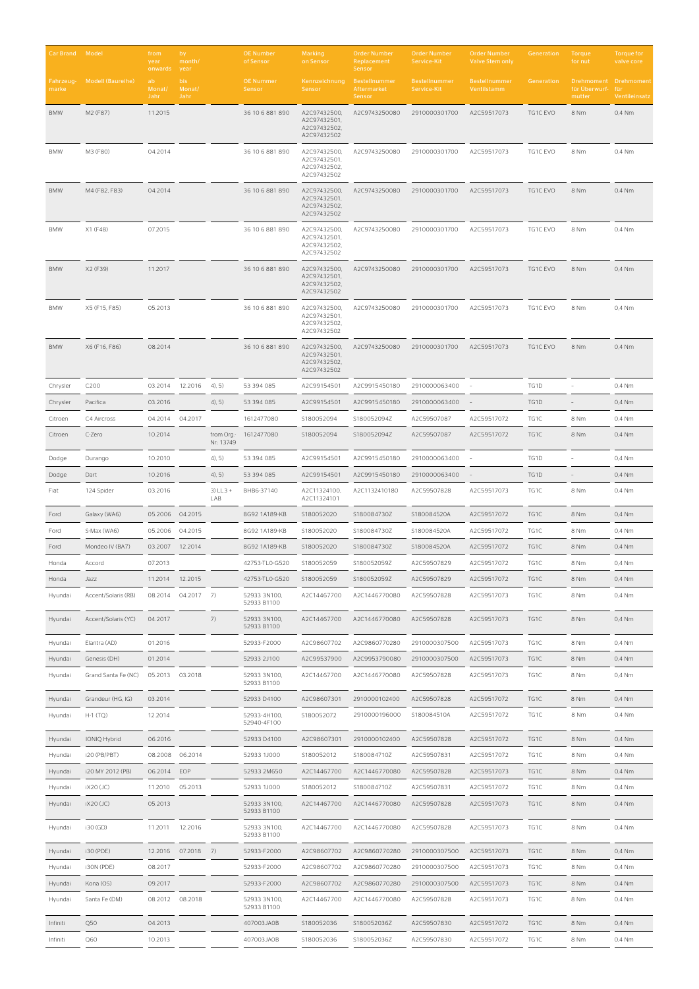| Car Brand Model    |                     | from<br>year<br>onwards | by<br>month/<br>year         |                          | <b>OE Number</b><br>of Sensor | Marking<br>on Sensor                                        | <b>Order Number</b><br>Replacement<br>Sensor | <b>Order Number</b><br>Service-Kit | <b>Order Number</b><br><b>Valve Stem only</b> | Generation | Torque<br>for nut                                | <b>Torque for</b><br>valve core |
|--------------------|---------------------|-------------------------|------------------------------|--------------------------|-------------------------------|-------------------------------------------------------------|----------------------------------------------|------------------------------------|-----------------------------------------------|------------|--------------------------------------------------|---------------------------------|
| Fahrzeug-<br>marke | Modell (Baureihe)   | ab.<br>Monat/<br>Jahr   | <b>bis</b><br>Monat/<br>Jahr |                          | <b>OE Nummer</b><br>Sensor    | Kennzeichnung<br>Sensor                                     | Bestellnummer<br>Aftermarket<br>Sensor       | Bestellnummer<br>Service-Kit       | <b>Bestellnummer</b><br>Ventilstamm           | Generation | Drehmoment Drehmoment<br>für Überwurf-<br>mutter | für<br>Ventileinsatz            |
| <b>BMW</b>         | M2 (F87)            | 11.2015                 |                              |                          | 36 10 6 881 890               | A2C97432500,<br>A2C97432501,<br>A2C97432502,<br>A2C97432502 | A2C9743250080                                | 2910000301700                      | A2C59517073                                   | TG1C EVO   | 8 Nm                                             | 0,4 Nm                          |
| <b>BMW</b>         | M3 (F80)            | 04.2014                 |                              |                          | 36 10 6 881 890               | A2C97432500,<br>A2C97432501<br>A2C97432502,<br>A2C97432502  | A2C9743250080                                | 2910000301700                      | A2C59517073                                   | TG1C EVO   | 8 Nm                                             | 0,4 Nm                          |
| <b>BMW</b>         | M4 (F82, F83)       | 04.2014                 |                              |                          | 36 10 6 881 890               | A2C97432500,<br>A2C97432501,<br>A2C97432502.<br>A2C97432502 | A2C9743250080                                | 2910000301700                      | A2C59517073                                   | TG1C EVO   | 8 Nm                                             | 0,4 Nm                          |
| <b>BMW</b>         | X1 (F48)            | 07.2015                 |                              |                          | 36 10 6 881 890               | A2C97432500,<br>A2C97432501,<br>A2C97432502,<br>A2C97432502 | A2C9743250080                                | 2910000301700                      | A2C59517073                                   | TG1C EVO   | 8 Nm                                             | 0,4 Nm                          |
| <b>BMW</b>         | X2 (F39)            | 11.2017                 |                              |                          | 36 10 6 881 890               | A2C97432500,<br>A2C97432501,<br>A2C97432502,<br>A2C97432502 | A2C9743250080                                | 2910000301700                      | A2C59517073                                   | TG1C EVO   | 8 Nm                                             | 0,4 Nm                          |
| <b>BMW</b>         | X5 (F15, F85)       | 05.2013                 |                              |                          | 36 10 6 881 890               | A2C97432500,<br>A2C97432501,<br>A2C97432502,<br>A2C97432502 | A2C9743250080                                | 2910000301700                      | A2C59517073                                   | TG1C EVO   | 8 Nm                                             | 0,4 Nm                          |
| <b>BMW</b>         | X6 (F16, F86)       | 08.2014                 |                              |                          | 36 10 6 881 890               | A2C97432500,<br>A2C97432501,<br>A2C97432502,<br>A2C97432502 | A2C9743250080                                | 2910000301700                      | A2C59517073                                   | TG1C EVO   | 8 Nm                                             | $0.4$ Nm                        |
| Chrysler           | C200                | 03.2014 12.2016         |                              | 4, 5)                    | 53 394 085                    | A2C99154501                                                 | A2C9915450180                                | 2910000063400                      |                                               | TG1D       |                                                  | 0,4 Nm                          |
| Chrysler           | Pacifica            | 03.2016                 |                              | 4, 5)                    | 53 394 085                    | A2C99154501                                                 | A2C9915450180                                | 2910000063400                      |                                               | TG1D       |                                                  | 0,4 Nm                          |
| Citroen            | C4 Aircross         | 04.2014                 | 04.2017                      |                          | 1612477080                    | S180052094                                                  | S180052094Z                                  | A2C59507087                        | A2C59517072                                   | TG1C       | 8 Nm                                             | 0,4 Nm                          |
| Citroen            | C-Zero              | 10.2014                 |                              | from Org.-<br>Nr.: 13749 | 1612477080                    | S180052094                                                  | S180052094Z                                  | A2C59507087                        | A2C59517072                                   | TG1C       | 8 Nm                                             | 0,4 Nm                          |
| Dodge              | Durango             | 10.2010                 |                              | 4, 5)                    | 53 394 085                    | A2C99154501                                                 | A2C9915450180                                | 2910000063400                      |                                               | TG1D       |                                                  | 0,4 Nm                          |
| Dodge              | Dart                | 10.2016                 |                              | 4, 5)                    | 53 394 085                    | A2C99154501                                                 | A2C9915450180                                | 2910000063400                      |                                               | TG1D       |                                                  | 0,4 Nm                          |
| Fiat               | 124 Spider          | 03.2016                 |                              | $3) LL3 +$<br>LAB        | BHB6-37140                    | A2C11324100,<br>A2C11324101                                 | A2C1132410180                                | A2C59507828                        | A2C59517073                                   | TG1C       | 8 Nm                                             | 0,4 Nm                          |
| Ford               | Galaxy (WA6)        | 05.2006                 | 04.2015                      |                          | 8G92 1A189-KB                 | S180052020                                                  | S180084730Z                                  | S180084520A                        | A2C59517072                                   | TG1C       | 8 Nm                                             | 0,4 Nm                          |
| Ford               | S-Max (WA6)         | 05.2006                 | 04.2015                      |                          | 8G92 1A189-KB                 | S180052020                                                  | S180084730Z                                  | S180084520A                        | A2C59517072                                   | TG1C       | 8 Nm                                             | 0,4 Nm                          |
| Ford               | Mondeo IV (BA7)     | 03.2007                 | 12.2014                      |                          | 8G92 1A189-KB                 | S180052020                                                  | S180084730Z                                  | S180084520A                        | A2C59517072                                   | TG1C       | 8 Nm                                             | 0,4 Nm                          |
| Honda              | Accord              | 07.2013                 |                              |                          | 42753-TLO-G520                | S180052059                                                  | S180052059Z                                  | A2C59507829                        | A2C59517072                                   | TG1C       | 8 Nm                                             | 0,4 Nm                          |
| Honda              | Jazz                | 11.2014                 | 12.2015                      |                          | 42753-TLO-G520                | S180052059                                                  | S180052059Z                                  | A2C59507829                        | A2C59517072                                   | TG1C       | 8 Nm                                             | 0,4 Nm                          |
| Hyundai            | Accent/Solaris (RB) | 08.2014                 | $04.2017$ 7)                 |                          | 52933 3N100,<br>52933 B1100   | A2C14467700                                                 | A2C1446770080                                | A2C59507828                        | A2C59517073                                   | TG1C       | 8 Nm                                             | 0,4 Nm                          |
| Hyundai            | Accent/Solaris (YC) | 04.2017                 |                              | 7)                       | 52933 3N100,<br>52933 B1100   | A2C14467700                                                 | A2C1446770080                                | A2C59507828                        | A2C59517073                                   | TG1C       | 8 Nm                                             | 0,4 Nm                          |
| Hyundai            | Elantra (AD)        | 01.2016                 |                              |                          | 52933-F2000                   | A2C98607702                                                 | A2C9860770280                                | 2910000307500                      | A2C59517073                                   | TG1C       | 8 Nm                                             | 0,4 Nm                          |
| Hyundai            | Genesis (DH)        | 01.2014                 |                              |                          | 52933 2J100                   | A2C99537900                                                 | A2C9953790080                                | 2910000307500                      | A2C59517073                                   | TG1C       | 8 Nm                                             | 0,4 Nm                          |
| Hyundai            | Grand Santa Fe (NC) | 05.2013 03.2018         |                              |                          | 52933 3N100,<br>52933 B1100   | A2C14467700                                                 | A2C1446770080                                | A2C59507828                        | A2C59517073                                   | TG1C       | 8 Nm                                             | 0,4 Nm                          |
| Hyundai            | Grandeur (HG, IG)   | 03.2014                 |                              |                          | 52933 D4100                   | A2C98607301                                                 | 2910000102400                                | A2C59507828                        | A2C59517072                                   | TG1C       | 8 Nm                                             | 0,4 Nm                          |
| Hyundai            | $H-1(TQ)$           | 12.2014                 |                              |                          | 52933-4H100,<br>52940-4F100   | S180052072                                                  | 2910000196000                                | S180084510A                        | A2C59517072                                   | TG1C       | 8 Nm                                             | 0,4 Nm                          |
| Hyundai            | IONIQ Hybrid        | 06.2016                 |                              |                          | 52933 D4100                   | A2C98607301                                                 | 2910000102400                                | A2C59507828                        | A2C59517072                                   | TG1C       | 8 Nm                                             | 0,4 Nm                          |
| Hyundai            | i20 (PB/PBT)        | 08.2008                 | 06.2014                      |                          | 52933 1J000                   | S180052012                                                  | S180084710Z                                  | A2C59507831                        | A2C59517072                                   | TG1C       | 8 Nm                                             | 0,4 Nm                          |
| Hyundai            | i20 MY 2012 (PB)    | 06.2014                 | EOP                          |                          | 52933 2M650                   | A2C14467700                                                 | A2C1446770080                                | A2C59507828                        | A2C59517073                                   | TG1C       | 8 Nm                                             | 0,4 Nm                          |
| Hyundai            | iX20 (JC)           | 11.2010                 | 05.2013                      |                          | 52933 1J000                   | S180052012                                                  | S180084710Z                                  | A2C59507831                        | A2C59517072                                   | TG1C       | 8 Nm                                             | 0,4 Nm                          |
| Hyundai            | <b>iX20 (JC)</b>    | 05.2013                 |                              |                          | 52933 3N100,<br>52933 B1100   | A2C14467700                                                 | A2C1446770080                                | A2C59507828                        | A2C59517073                                   | TG1C       | 8 Nm                                             | 0,4 Nm                          |
| Hyundai            | i30 (GD)            | 11.2011                 | 12.2016                      |                          | 52933 3N100,<br>52933 B1100   | A2C14467700                                                 | A2C1446770080                                | A2C59507828                        | A2C59517073                                   | TG1C       | 8 Nm                                             | 0,4 Nm                          |
| Hyundai            | i30 (PDE)           |                         | 12.2016 07.2018 7)           |                          | 52933-F2000                   | A2C98607702                                                 | A2C9860770280                                | 2910000307500                      | A2C59517073                                   | TG1C       | 8 Nm                                             | 0,4 Nm                          |
| Hyundai            | i30N (PDE)          | 08.2017                 |                              |                          | 52933-F2000                   | A2C98607702                                                 | A2C9860770280                                | 2910000307500                      | A2C59517073                                   | TG1C       | 8 Nm                                             | 0,4 Nm                          |
| Hyundai            | Kona (OS)           | 09.2017                 |                              |                          | 52933-F2000                   | A2C98607702                                                 | A2C9860770280                                | 2910000307500                      | A2C59517073                                   | TG1C       | 8 Nm                                             | 0,4 Nm                          |
| Hyundai            | Santa Fe (DM)       | 08.2012                 | 08.2018                      |                          | 52933 3N100,<br>52933 B1100   | A2C14467700                                                 | A2C1446770080                                | A2C59507828                        | A2C59517073                                   | TG1C       | 8 Nm                                             | 0,4 Nm                          |
| Infiniti           | Q50                 | 04.2013                 |                              |                          | 407003JA0B                    | S180052036                                                  | S180052036Z                                  | A2C59507830                        | A2C59517072                                   | TG1C       | 8 Nm                                             | 0,4 Nm                          |
| Infiniti           | Q60                 | 10.2013                 |                              |                          | 407003JA0B                    | S180052036                                                  | S180052036Z                                  | A2C59507830                        | A2C59517072                                   | TG1C       | 8 Nm                                             | 0,4 Nm                          |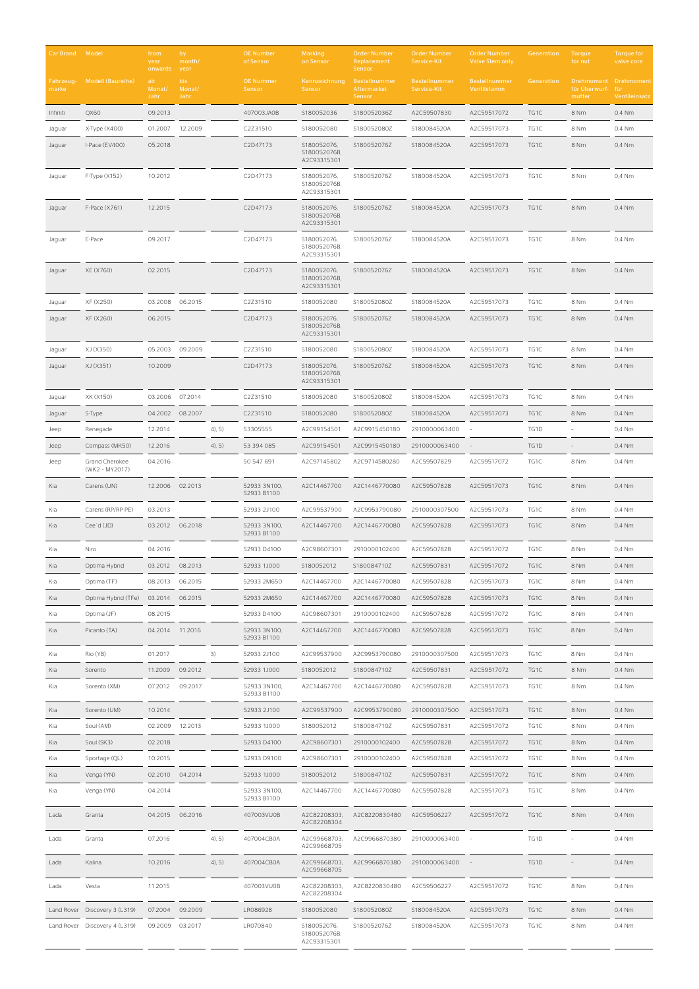| Car Brand Model    |                                  | from<br>year<br>onwards | by<br>month/<br>year  |           | <b>OE Number</b><br>of Sensor | <b>Marking</b><br>on Sensor                | <b>Order Number</b><br>Replacement<br>Sensor | <b>Order Number</b><br>Service-Kit  | <b>Order Number</b><br><b>Valve Stem only</b> | Generation | Torque<br>for nut                     | <b>Torque for</b><br>valve core    |
|--------------------|----------------------------------|-------------------------|-----------------------|-----------|-------------------------------|--------------------------------------------|----------------------------------------------|-------------------------------------|-----------------------------------------------|------------|---------------------------------------|------------------------------------|
| Fahrzeug-<br>marke | Modell (Baureihe)                | ab<br>Monat/<br>Jahr    | bis<br>Monat/<br>Jahr |           | <b>OE Nummer</b><br>Sensor    | Kennzeichnung<br>Sensor                    | Bestellnummer<br>Aftermarket<br>Sensor       | <b>Bestellnummer</b><br>Service-Kit | <b>Bestellnummer</b><br>Ventilstamm           | Generation | Drehmoment<br>für Überwurf-<br>mutter | Drehmoment<br>für<br>Ventileinsatz |
| Infiniti           | QX60                             | 09.2013                 |                       |           | 407003JA0B                    | S180052036                                 | S180052036Z                                  | A2C59507830                         | A2C59517072                                   | TG1C       | 8 Nm                                  | 0,4 Nm                             |
| Jaguar             | X-Type (X400)                    | 01.2007                 | 12.2009               |           | C2Z31510                      | S180052080                                 | S180052080Z                                  | S180084520A                         | A2C59517073                                   | TG1C       | 8 Nm                                  | 0,4 Nm                             |
| Jaguar             | I-Pace (EV400)                   | 05.2018                 |                       |           | C2D47173                      | S180052076,<br>S180052076B,<br>A2C93315301 | S180052076Z                                  | S180084520A                         | A2C59517073                                   | TG1C       | 8 Nm                                  | 0,4 Nm                             |
| Jaguar             | F-Type (X152)                    | 10.2012                 |                       |           | C2D47173                      | S180052076,<br>S180052076B,<br>A2C93315301 | S180052076Z                                  | S180084520A                         | A2C59517073                                   | TG1C       | 8 Nm                                  | 0,4 Nm                             |
| Jaguar             | F-Pace (X761)                    | 12.2015                 |                       |           | C2D47173                      | S180052076,<br>S180052076B,<br>A2C93315301 | S180052076Z                                  | S180084520A                         | A2C59517073                                   | TG1C       | 8 Nm                                  | 0,4 Nm                             |
| Jaguar             | E-Pace                           | 09.2017                 |                       |           | C2D47173                      | S180052076,<br>S180052076B,<br>A2C93315301 | S180052076Z                                  | S180084520A                         | A2C59517073                                   | TG1C       | 8 Nm                                  | 0,4 Nm                             |
| Jaguar             | XE (X760)                        | 02.2015                 |                       |           | C2D47173                      | S180052076,<br>S180052076B,<br>A2C93315301 | S180052076Z                                  | S180084520A                         | A2C59517073                                   | TG1C       | 8 Nm                                  | 0,4 Nm                             |
| Jaguar             | XF (X250)                        | 03.2008 06.2015         |                       |           | C2Z31510                      | S180052080                                 | S180052080Z                                  | S180084520A                         | A2C59517073                                   | TG1C       | 8 Nm                                  | 0,4 Nm                             |
| Jaguar             | XF (X260)                        | 06.2015                 |                       |           | C2D47173                      | S180052076,<br>S180052076B,<br>A2C93315301 | S180052076Z                                  | S180084520A                         | A2C59517073                                   | TG1C       | 8 Nm                                  | 0,4 Nm                             |
| Jaguar             | XJ (X350)                        | 05.2003 09.2009         |                       |           | C2Z31510                      | S180052080                                 | S180052080Z                                  | S180084520A                         | A2C59517073                                   | TG1C       | 8 Nm                                  | 0,4 Nm                             |
| Jaguar             | XJ (X351)                        | 10.2009                 |                       |           | C2D47173                      | S180052076,<br>S180052076B,<br>A2C93315301 | S180052076Z                                  | S180084520A                         | A2C59517073                                   | TG1C       | 8 Nm                                  | 0,4 Nm                             |
| Jaguar             | XK (X150)                        | 03.2006                 | 07.2014               |           | C2Z31510                      | S180052080                                 | S180052080Z                                  | S180084520A                         | A2C59517073                                   | TG1C       | 8 Nm                                  | 0,4 Nm                             |
| Jaguar             | S-Type                           | 04.2002                 | 08.2007               |           | C2Z31510                      | S180052080                                 | S180052080Z                                  | S180084520A                         | A2C59517073                                   | TG1C       | 8 Nm                                  | 0,4 Nm                             |
| Jeep               | Renegade                         | 12.2014                 |                       | $4)$ , 5) | 53305555                      | A2C99154501                                | A2C9915450180                                | 2910000063400                       |                                               | TG1D       |                                       | 0,4 Nm                             |
| Jeep               | Compass (MK50)                   | 12.2016                 |                       | 4, 5)     | 53 394 085                    | A2C99154501                                | A2C9915450180                                | 2910000063400                       |                                               | TG1D       |                                       | 0,4 Nm                             |
| Jeep               | Grand Cherokee<br>(WK2 - MY2017) | 04.2016                 |                       |           | 50 547 691                    | A2C97145802                                | A2C9714580280                                | A2C59507829                         | A2C59517072                                   | TG1C       | 8 Nm                                  | 0,4 Nm                             |
| Kia                | Carens (UN)                      | 12.2006 02.2013         |                       |           | 52933 3N100,<br>52933 B1100   | A2C14467700                                | A2C1446770080                                | A2C59507828                         | A2C59517073                                   | TG1C       | 8 Nm                                  | 0,4 Nm                             |
| Kia                | Carens (RP/RP PE)                | 03.2013                 |                       |           | 52933 2J100                   | A2C99537900                                | A2C9953790080                                | 2910000307500                       | A2C59517073                                   | TG1C       | 8 Nm                                  | 0,4 Nm                             |
| Kia                | Cee'd (JD)                       | 03.2012 06.2018         |                       |           | 52933 3N100,<br>52933 B1100   | A2C14467700                                | A2C1446770080                                | A2C59507828                         | A2C59517073                                   | TG1C       | 8 Nm                                  | 0,4 Nm                             |
| Kia                | Niro                             | 04.2016                 |                       |           | 52933 D4100                   | A2C98607301                                | 2910000102400                                | A2C59507828                         | A2C59517072                                   | TG1C       | 8 Nm                                  | 0,4 Nm                             |
| Kia                | Optima Hybrid                    | 03.2012                 | 08.2013               |           | 52933 1J000                   | S180052012                                 | S180084710Z                                  | A2C59507831                         | A2C59517072                                   | TG1C       | 8 Nm                                  | 0,4 Nm                             |
| Kia                | Optima (TF)                      | 08.2013                 | 06.2015               |           | 52933 2M650                   | A2C14467700                                | A2C1446770080                                | A2C59507828                         | A2C59517073                                   | TG1C       | 8 Nm                                  | 0,4 Nm                             |
| Kia                | Optima Hybrid (TFe)              | 03.2014                 | 06.2015               |           | 52933 2M650                   | A2C14467700                                | A2C1446770080                                | A2C59507828                         | A2C59517073                                   | TG1C       | 8 Nm                                  | 0,4 Nm                             |
| Kia                | Optima (JF)                      | 08.2015                 |                       |           | 52933 D4100                   | A2C98607301                                | 2910000102400                                | A2C59507828                         | A2C59517072                                   | TG1C       | 8 Nm                                  | 0,4 Nm                             |
| Kia                | Picanto (TA)                     | 04.2014                 | 11.2016               |           | 52933 3N100,<br>52933 B1100   | A2C14467700                                | A2C1446770080                                | A2C59507828                         | A2C59517073                                   | TG1C       | 8 Nm                                  | 0,4 Nm                             |
| Kia                | Rio (YB)                         | 01.2017                 |                       | 3)        | 52933 2J100                   | A2C99537900                                | A2C9953790080                                | 2910000307500                       | A2C59517073                                   | TG1C       | 8 Nm                                  | 0,4 Nm                             |
| Kia                | Sorento                          | 11.2009                 | 09.2012               |           | 52933 1J000                   | S180052012                                 | S180084710Z                                  | A2C59507831                         | A2C59517072                                   | TG1C       | 8 Nm                                  | 0,4 Nm                             |
| Kia                | Sorento (XM)                     | 07.2012                 | 09.2017               |           | 52933 3N100,<br>52933 B1100   | A2C14467700                                | A2C1446770080                                | A2C59507828                         | A2C59517073                                   | TG1C       | 8 Nm                                  | 0,4 Nm                             |
| Kia                | Sorento (UM)                     | 10.2014                 |                       |           | 52933 2J100                   | A2C99537900                                | A2C9953790080                                | 2910000307500                       | A2C59517073                                   | TG1C       | 8 Nm                                  | 0,4 Nm                             |
| Kia                | Soul (AM)                        | 02.2009                 | 12.2013               |           | 52933 1J000                   | S180052012                                 | S180084710Z                                  | A2C59507831                         | A2C59517072                                   | TG1C       | 8 Nm                                  | 0,4 Nm                             |
| Kia                | Soul (SK3)                       | 02.2018                 |                       |           | 52933 D4100                   | A2C98607301                                | 2910000102400                                | A2C59507828                         | A2C59517072                                   | TG1C       | 8 Nm                                  | 0,4 Nm                             |
| Kia                | Sportage (QL)                    | 10.2015                 |                       |           | 52933 D9100                   | A2C98607301                                | 2910000102400                                | A2C59507828                         | A2C59517072                                   | TG1C       | 8 Nm                                  | 0,4 Nm                             |
| Kia                | Venga (YN)                       | 02.2010                 | 04.2014               |           | 52933 1J000                   | S180052012                                 | S180084710Z                                  | A2C59507831                         | A2C59517072                                   | TG1C       | 8 Nm                                  | 0,4 Nm                             |
| Kia                | Venga (YN)                       | 04.2014                 |                       |           | 52933 3N100,<br>52933 B1100   | A2C14467700                                | A2C1446770080                                | A2C59507828                         | A2C59517073                                   | TG1C       | 8 Nm                                  | 0,4 Nm                             |
| Lada               | Granta                           | 04.2015 06.2016         |                       |           | 407003VU0B                    | A2C82208303,<br>A2C82208304                | A2C8220830480                                | A2C59506227                         | A2C59517072                                   | TG1C       | 8 Nm                                  | 0,4 Nm                             |
| Lada               | Granta                           | 07.2016                 |                       | 4, 5)     | 407004CB0A                    | A2C99668703,<br>A2C99668705                | A2C9966870380                                | 2910000063400                       |                                               | TG1D       |                                       | 0,4 Nm                             |
| Lada               | Kalina                           | 10.2016                 |                       | 4, 5)     | 407004CB0A                    | A2C99668703,<br>A2C99668705                | A2C9966870380                                | 2910000063400                       |                                               | TG1D       |                                       | 0,4 Nm                             |
| Lada               | Vesta                            | 11.2015                 |                       |           | 407003VU0B                    | A2C82208303,<br>A2C82208304                | A2C8220830480                                | A2C59506227                         | A2C59517072                                   | TG1C       | 8 Nm                                  | 0,4 Nm                             |
| Land Rover         | Discovery 3 (L319)               | 07.2004                 | 09.2009               |           | LR086928                      | S180052080                                 | S180052080Z                                  | S180084520A                         | A2C59517073                                   | TG1C       | 8 Nm                                  | 0,4 Nm                             |
|                    | Land Rover Discovery 4 (L319)    | 09.2009                 | 03.2017               |           | LR070840                      | S180052076,<br>S180052076B,<br>A2C93315301 | S180052076Z                                  | S180084520A                         | A2C59517073                                   | TG1C       | 8 Nm                                  | 0,4 Nm                             |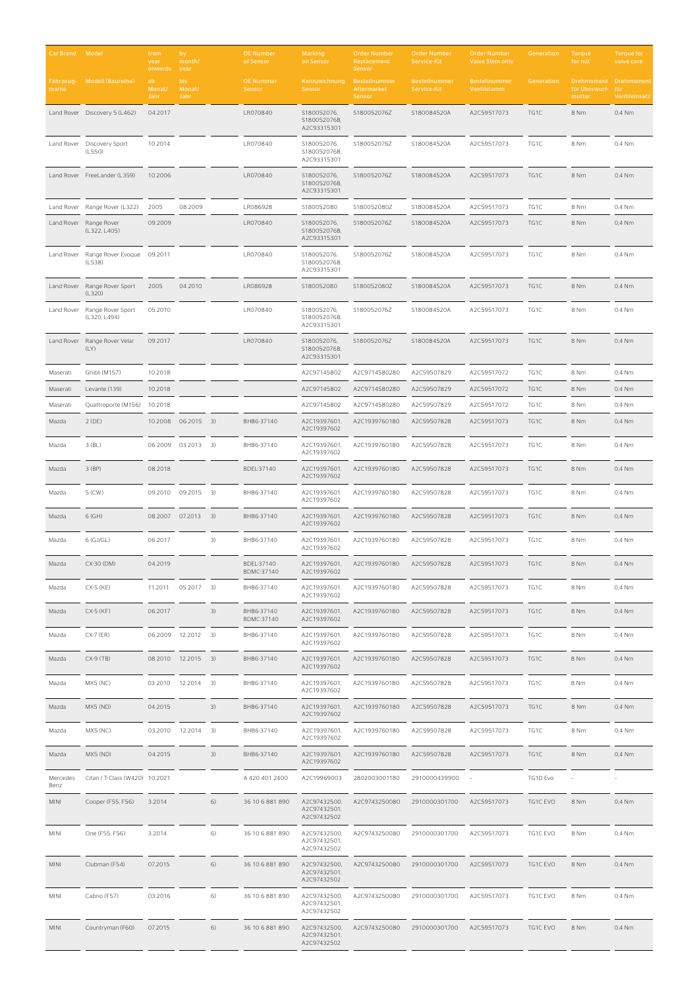| Car Brand          | Model                                        | from<br>year<br>onwards | by<br>month/<br>year  |    | <b>OE Number</b><br>of Sensor | Marking<br>on Sensor                        | <b>Order Number</b><br>Replacement<br>Sensor | <b>Order Number</b><br>Service-Kit | <b>Order Number</b><br><b>Valve Stem only</b> | Generation | Torque<br>for nut                     | <b>Torque for</b><br>valve core    |
|--------------------|----------------------------------------------|-------------------------|-----------------------|----|-------------------------------|---------------------------------------------|----------------------------------------------|------------------------------------|-----------------------------------------------|------------|---------------------------------------|------------------------------------|
| Fahrzeug-<br>marke | Modell (Baureihe)                            | ab<br>Monat/<br>Jahr    | bis<br>Monat/<br>Jahr |    | <b>OE Nummer</b><br>Sensor    | Kennzeichnung<br>Sensor                     | Bestellnummer<br>Aftermarket<br>Sensor       | Bestellnummer<br>Service-Kit       | Bestellnummer<br>Ventilstamm                  | Generation | Drehmoment<br>für Überwurf-<br>mutter | Drehmoment<br>für<br>Ventileinsatz |
|                    | Land Rover Discovery 5 (L462)                | 04.2017                 |                       |    | LR070840                      | S180052076,<br>S180052076B,<br>A2C93315301  | S180052076Z                                  | S180084520A                        | A2C59517073                                   | TG1C       | 8 Nm                                  | 0,4 Nm                             |
|                    | Land Rover Discovery Sport<br>(L550)         | 10.2014                 |                       |    | LR070840                      | S180052076,<br>S180052076B,<br>A2C93315301  | S180052076Z                                  | S180084520A                        | A2C59517073                                   | TG1C       | 8 Nm                                  | 0,4 Nm                             |
|                    | Land Rover FreeLander (L359)                 | 10.2006                 |                       |    | LR070840                      | S180052076,<br>S180052076B,<br>A2C93315301  | S180052076Z                                  | S180084520A                        | A2C59517073                                   | TG1C       | 8 Nm                                  | 0,4 Nm                             |
| Land Rover         | Range Rover (L322)                           | 2005                    | 08.2009               |    | LR086928                      | S180052080                                  | S180052080Z                                  | S180084520A                        | A2C59517073                                   | TG1C       | 8 Nm                                  | 0,4 Nm                             |
|                    | Land Rover Range Rover<br>(L322, L405)       | 09.2009                 |                       |    | LR070840                      | S180052076,<br>S180052076B,<br>A2C93315301  | S180052076Z                                  | S180084520A                        | A2C59517073                                   | TG1C       | 8 Nm                                  | 0,4 Nm                             |
| Land Rover         | Range Rover Evoque<br>(L538)                 | 09.2011                 |                       |    | LR070840                      | S180052076,<br>S180052076B,<br>A2C93315301  | S180052076Z                                  | S180084520A                        | A2C59517073                                   | TG1C       | 8 Nm                                  | 0,4 Nm                             |
| Land Rover         | Range Rover Sport<br>(L320)                  | 2005                    | 04.2010               |    | LR086928                      | S180052080                                  | S180052080Z                                  | S180084520A                        | A2C59517073                                   | TG1C       | 8 Nm                                  | 0,4 Nm                             |
|                    | Land Rover Range Rover Sport<br>(L320, L494) | 05.2010                 |                       |    | LR070840                      | S180052076,<br>S180052076B,<br>A2C93315301  | S180052076Z                                  | S180084520A                        | A2C59517073                                   | TG1C       | 8 Nm                                  | 0,4 Nm                             |
| Land Rover         | Range Rover Velar<br>(LY)                    | 09.2017                 |                       |    | LR070840                      | S180052076,<br>S180052076B,<br>A2C93315301  | S180052076Z                                  | S180084520A                        | A2C59517073                                   | TG1C       | 8 Nm                                  | 0.4 Nm                             |
| Maserati           | Ghibli (M157)                                | 10.2018                 |                       |    |                               | A2C97145802                                 | A2C9714580280                                | A2C59507829                        | A2C59517072                                   | TG1C       | 8 Nm                                  | 0.4 Nm                             |
| Maserati           | Levante (139)                                | 10.2018                 |                       |    |                               | A2C97145802                                 | A2C9714580280                                | A2C59507829                        | A2C59517072                                   | TG1C       | 8 Nm                                  | 0,4 Nm                             |
| Maserati           | Quattroporte (M156)                          | 10.2018                 |                       |    |                               | A2C97145802                                 | A2C9714580280                                | A2C59507829                        | A2C59517072                                   | TG1C       | 8 Nm                                  | 0,4 Nm                             |
| Mazda              | $2$ (DE)                                     | 10.2008                 | 06.2015 3)            |    | BHB6-37140                    | A2C19397601,<br>A2C19397602                 | A2C1939760180                                | A2C59507828                        | A2C59517073                                   | TG1C       | 8 Nm                                  | 0,4 Nm                             |
| Mazda              | $3$ $(BL)$                                   | 06.2009                 | $03.2013$ 3)          |    | BHB6-37140                    | A2C19397601,<br>A2C19397602                 | A2C1939760180                                | A2C59507828                        | A2C59517073                                   | TG1C       | 8 Nm                                  | 0,4 Nm                             |
| Mazda              | $3$ (BP)                                     | 08.2018                 |                       |    | BDEL-37140                    | A2C19397601,<br>A2C19397602                 | A2C1939760180                                | A2C59507828                        | A2C59517073                                   | TG1C       | 8 Nm                                  | 0,4 Nm                             |
| Mazda              | 5 (CW)                                       | 09.2010                 | 09.2015 3)            |    | BHB6-37140                    | A2C19397601,<br>A2C19397602                 | A2C1939760180                                | A2C59507828                        | A2C59517073                                   | TG1C       | 8 Nm                                  | 0,4 Nm                             |
| Mazda              | $6$ (GH)                                     | 08.2007                 | 07.2013               | 3) | BHB6-37140                    | A2C19397601.<br>A2C19397602                 | A2C1939760180                                | A2C59507828                        | A2C59517073                                   | TG1C       | 8 Nm                                  | 0,4 Nm                             |
| Mazda              | $6$ (GJ/GL)                                  | 06.2017                 |                       | 3) | BHB6-37140                    | A2C19397601,<br>A2C19397602                 | A2C1939760180                                | A2C59507828                        | A2C59517073                                   | TG1C       | 8 Nm                                  | 0,4 Nm                             |
| Mazda              | CX-30 (DM)                                   | 04.2019                 |                       |    | BDEL-37140<br>BDMC-37140      | A2C19397601,<br>A2C19397602                 | A2C1939760180                                | A2C59507828                        | A2C59517073                                   | TG1C       | 8 Nm                                  | 0,4 Nm                             |
| Mazda              | CX-5 (KE)                                    | 11.2011                 | $05.2017 - 3)$        |    | BHB6-37140                    | A2C19397601.<br>A2C19397602                 | A2C1939760180                                | A2C59507828                        | A2C59517073                                   | TG1C       | 8 Nm                                  | 0,4 Nm                             |
| Mazda              | CX-5 (KF)                                    | 06.2017                 |                       | 3) | BHB6-37140<br>BDMC-37140      | A2C19397601.<br>A2C19397602                 | A2C1939760180                                | A2C59507828                        | A2C59517073                                   | TG1C       | 8 Nm                                  | 0,4 Nm                             |
| Mazda              | CX-7 (ER)                                    | 06.2009                 | 12.2012 3)            |    | BHB6-37140                    | A2C19397601,<br>A2C19397602                 | A2C1939760180                                | A2C59507828                        | A2C59517073                                   | TG1C       | 8 Nm                                  | 0,4 Nm                             |
| Mazda              | $CX-9$ (TB)                                  | 08.2010                 | 12.2015               | 3) | BHB6-37140                    | A2C19397601,<br>A2C19397602                 | A2C1939760180                                | A2C59507828                        | A2C59517073                                   | TG1C       | 8 Nm                                  | 0,4 Nm                             |
| Mazda              | MX5 (NC)                                     |                         | 03.2010 12.2014 3)    |    | BHB6-37140                    | A2C19397601,<br>A2C19397602                 | A2C1939760180                                | A2C59507828                        | A2C59517073                                   | TG1C       | 8 Nm                                  | 0,4 Nm                             |
| Mazda              | MX5 (ND)                                     | 04.2015                 |                       | 3) | BHB6-37140                    | A2C19397601,<br>A2C19397602                 | A2C1939760180                                | A2C59507828                        | A2C59517073                                   | TG1C       | 8 Nm                                  | 0,4 Nm                             |
| Mazda              | MX5 (NC)                                     | 03.2010                 | 12.2014               | 3) | BHB6-37140                    | A2C19397601,<br>A2C19397602                 | A2C1939760180                                | A2C59507828                        | A2C59517073                                   | TG1C       | 8 Nm                                  | 0,4 Nm                             |
| Mazda              | MX5 (ND)                                     | 04.2015                 |                       | 3) | BHB6-37140                    | A2C19397601,<br>A2C19397602                 | A2C1939760180                                | A2C59507828                        | A2C59517073                                   | TG1C       | 8 Nm                                  | 0,4 Nm                             |
| Mercedes<br>Benz   | Citan / T-Class (W420) 10.2021               |                         |                       |    | A 420 401 2400                | A2C19969003                                 | 2802003001180                                | 2910000439900                      |                                               | TG1D Evo   |                                       |                                    |
| <b>MINI</b>        | Cooper (F55, F56)                            | 3.2014                  |                       | 6) | 36 10 6 881 890               | A2C97432500,<br>A2C97432501,<br>A2C97432502 | A2C9743250080                                | 2910000301700                      | A2C59517073                                   | TG1C EVO   | 8 Nm                                  | 0,4 Nm                             |
| <b>MINI</b>        | One (F55, F56)                               | 3.2014                  |                       | 6) | 36 10 6 881 890               | A2C97432500,<br>A2C97432501,<br>A2C97432502 | A2C9743250080                                | 2910000301700                      | A2C59517073                                   | TG1C EVO   | 8 Nm                                  | 0,4 Nm                             |
| <b>MINI</b>        | Clubman (F54)                                | 07.2015                 |                       | 6) | 36 10 6 881 890               | A2C97432500,<br>A2C97432501,<br>A2C97432502 | A2C9743250080                                | 2910000301700                      | A2C59517073                                   | TG1C EVO   | 8 Nm                                  | 0,4 Nm                             |
| <b>MINI</b>        | Cabrio (F57)                                 | 03.2016                 |                       | 6) | 36 10 6 881 890               | A2C97432500,<br>A2C97432501,<br>A2C97432502 | A2C9743250080                                | 2910000301700                      | A2C59517073                                   | TG1C EVO   | 8 Nm                                  | 0.4 Nm                             |
| <b>MINI</b>        | Countryman (F60)                             | 07.2015                 |                       | 6) | 36 10 6 881 890               | A2C97432500,<br>A2C97432501,<br>A2C97432502 | A2C9743250080                                | 2910000301700                      | A2C59517073                                   | TG1C EVO   | 8 Nm                                  | 0,4 Nm                             |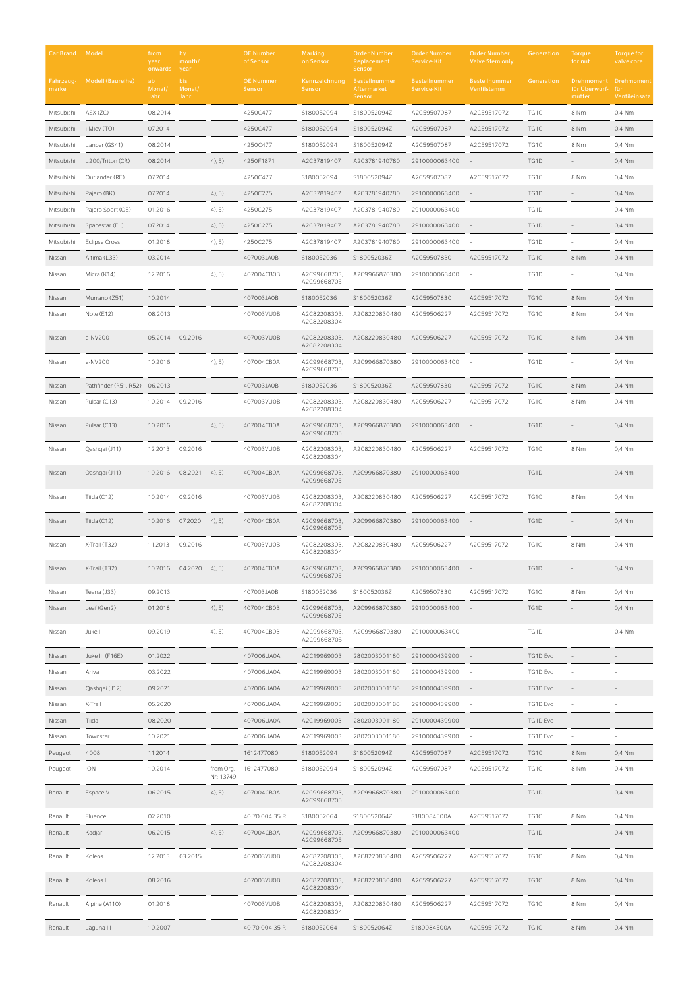| Car Brand Model    |                               | from<br>year<br>onwards | by<br>month/<br>year   |                          | <b>OE Number</b><br>of Sensor | <b>Marking</b><br>on Sensor | <b>Order Number</b><br>Replacement<br>Sensor  | <b>Order Number</b><br>Service-Kit | <b>Order Number</b><br><b>Valve Stem only</b> | Generation | Torque<br>for nut                                | <b>Torque for</b><br>valve core |
|--------------------|-------------------------------|-------------------------|------------------------|--------------------------|-------------------------------|-----------------------------|-----------------------------------------------|------------------------------------|-----------------------------------------------|------------|--------------------------------------------------|---------------------------------|
| Fahrzeug-<br>marke | <b>Modell (Baureihe)</b>      | ab.<br>Monat/<br>Jahr   | bis.<br>Monat/<br>Jahr |                          | <b>OE Nummer</b><br>Sensor    | Kennzeichnung<br>Sensor     | <b>Bestellnummer</b><br>Aftermarket<br>Sensor | Bestellnummer<br>Service-Kit       | Bestellnummer<br>Ventilstamm                  | Generation | Drehmoment Drehmoment<br>für Überwurf-<br>mutter | für<br>Ventileinsatz            |
| Mitsubishi         | ASX (ZC)                      | 08.2014                 |                        |                          | 4250C477                      | S180052094                  | S180052094Z                                   | A2C59507087                        | A2C59517072                                   | TG1C       | 8 Nm                                             | 0,4 Nm                          |
| Mitsubishi         | i-Miev (TQ)                   | 07.2014                 |                        |                          | 4250C477                      | S180052094                  | S180052094Z                                   | A2C59507087                        | A2C59517072                                   | TG1C       | 8 Nm                                             | 0,4 Nm                          |
| Mitsubishi         | Lancer (GS41)                 | 08.2014                 |                        |                          | 4250C477                      | S180052094                  | S180052094Z                                   | A2C59507087                        | A2C59517072                                   | TG1C       | 8 Nm                                             | 0,4 Nm                          |
| Mitsubishi         | L200/Triton (CR)              | 08.2014                 |                        | 4, 5)                    | 4250F1871                     | A2C37819407                 | A2C3781940780                                 | 2910000063400                      |                                               | TG1D       |                                                  | 0,4 Nm                          |
| Mitsubishi         | Outlander (RE)                | 07.2014                 |                        |                          | 4250C477                      | S180052094                  | S180052094Z                                   | A2C59507087                        | A2C59517072                                   | TG1C       | 8 Nm                                             | 0,4 Nm                          |
| Mitsubishi         | Pajero (BK)                   | 07.2014                 |                        | 4, 5)                    | 4250C275                      | A2C37819407                 | A2C3781940780                                 | 2910000063400                      |                                               | TG1D       |                                                  | 0,4 Nm                          |
| Mitsubishi         | Pajero Sport (QE)             | 01.2016                 |                        | 4, 5)                    | 4250C275                      | A2C37819407                 | A2C3781940780                                 | 2910000063400                      |                                               | TG1D       |                                                  | 0,4 Nm                          |
| Mitsubishi         | Spacestar (EL)                | 07.2014                 |                        | 4, 5)                    | 4250C275                      | A2C37819407                 | A2C3781940780                                 | 2910000063400                      |                                               | TG1D       |                                                  | 0,4 Nm                          |
| Mitsubishi         | <b>Eclipse Cross</b>          | 01.2018                 |                        | 4, 5)                    | 4250C275                      | A2C37819407                 | A2C3781940780                                 | 2910000063400                      |                                               | TG1D       |                                                  | 0,4 Nm                          |
| Nissan             | Altima (L33)                  | 03.2014                 |                        |                          | 407003JA0B                    | S180052036                  | S180052036Z                                   | A2C59507830                        | A2C59517072                                   | TG1C       | 8 Nm                                             | 0,4 Nm                          |
| Nissan             | Micra (K14)                   | 12.2016                 |                        | 4, 5)                    | 407004CB0B                    | A2C99668703,<br>A2C99668705 | A2C9966870380                                 | 2910000063400                      |                                               | TG1D       |                                                  | 0,4 Nm                          |
| Nissan             | Murrano (Z51)                 | 10.2014                 |                        |                          | 407003JA0B                    | S180052036                  | S180052036Z                                   | A2C59507830                        | A2C59517072                                   | TG1C       | 8 Nm                                             | 0,4 Nm                          |
| Nissan             | Note (E12)                    | 08.2013                 |                        |                          | 407003VU0B                    | A2C82208303,<br>A2C82208304 | A2C8220830480                                 | A2C59506227                        | A2C59517072                                   | TG1C       | 8 Nm                                             | 0,4 Nm                          |
| Nissan             | e-NV200                       | 05.2014                 | 09.2016                |                          | 407003VU0B                    | A2C82208303,<br>A2C82208304 | A2C8220830480                                 | A2C59506227                        | A2C59517072                                   | TG1C       | 8 Nm                                             | 0,4 Nm                          |
| Nissan             | e-NV200                       | 10.2016                 |                        | 4, 5)                    | 407004CB0A                    | A2C99668703,<br>A2C99668705 | A2C9966870380                                 | 2910000063400                      |                                               | TG1D       |                                                  | 0,4 Nm                          |
| Nissan             | Pathfinder (R51, R52) 06.2013 |                         |                        |                          | 407003JA0B                    | S180052036                  | S180052036Z                                   | A2C59507830                        | A2C59517072                                   | TG1C       | 8 Nm                                             | 0,4 Nm                          |
| Nissan             | Pulsar (C13)                  | 10.2014                 | 09.2016                |                          | 407003VU0B                    | A2C82208303,<br>A2C82208304 | A2C8220830480                                 | A2C59506227                        | A2C59517072                                   | TG1C       | 8 Nm                                             | 0,4 Nm                          |
| Nissan             | Pulsar (C13)                  | 10.2016                 |                        | 4, 5)                    | 407004CB0A                    | A2C99668703,<br>A2C99668705 | A2C9966870380                                 | 2910000063400                      |                                               | TG1D       |                                                  | 0,4 Nm                          |
| Nissan             | Qashqai (J11)                 | 12.2013                 | 09.2016                |                          | 407003VU0B                    | A2C82208303,<br>A2C82208304 | A2C8220830480                                 | A2C59506227                        | A2C59517072                                   | TG1C       | 8 Nm                                             | 0,4 Nm                          |
| Nissan             | Qashqai (J11)                 | 10.2016                 | 08.2021                | 4, 5)                    | 407004CB0A                    | A2C99668703.<br>A2C99668705 | A2C9966870380                                 | 2910000063400                      |                                               | TG1D       |                                                  | 0,4 Nm                          |
| Nissan             | Tiida (C12)                   | 10.2014                 | 09.2016                |                          | 407003VU0B                    | A2C82208303,<br>A2C82208304 | A2C8220830480                                 | A2C59506227                        | A2C59517072                                   | TG1C       | 8 Nm                                             | 0,4 Nm                          |
| Nissan             | Tiida $(C12)$                 | 10.2016                 | 07.2020                | 4, 5)                    | 407004CB0A                    | A2C99668703.<br>A2C99668705 | A2C9966870380                                 | 2910000063400                      |                                               | TG1D       |                                                  | 0,4 Nm                          |
| Nissan             | X-Trail (T32)                 | 11.2013                 | 09.2016                |                          | 407003VU0B                    | A2C82208303,<br>A2C82208304 | A2C8220830480                                 | A2C59506227                        | A2C59517072                                   | TG1C       | 8 Nm                                             | 0,4 Nm                          |
| Nissan             | X-Trail (T32)                 | 10.2016                 | 04.2020                | $(4)$ , 5)               | 407004CB0A                    | A2C99668703,<br>A2C99668705 | A2C9966870380                                 | 2910000063400                      |                                               | TG1D       |                                                  | 0,4 Nm                          |
| Nissan             | Teana (J33)                   | 09.2013                 |                        |                          | 407003JA0B                    | S180052036                  | S180052036Z                                   | A2C59507830                        | A2C59517072                                   | TG1C       | 8 Nm                                             | 0,4 Nm                          |
| Nissan             | Leaf (Gen2)                   | 01.2018                 |                        | $4)$ , 5)                | 407004CB0B                    | A2C99668703,<br>A2C99668705 | A2C9966870380                                 | 2910000063400                      |                                               | TG1D       |                                                  | 0,4 Nm                          |
| Nissan             | Juke II                       | 09.2019                 |                        | $4)$ , 5)                | 407004CB0B                    | A2C99668703,<br>A2C99668705 | A2C9966870380                                 | 2910000063400                      |                                               | TG1D       |                                                  | 0,4 Nm                          |
| Nissan             | Juke III (F16E)               | 01.2022                 |                        |                          | 407006UA0A                    | A2C19969003                 | 2802003001180                                 | 2910000439900                      |                                               | TG1D Evo   |                                                  |                                 |
| Nissan             | Ariya                         | 03.2022                 |                        |                          | 407006UA0A                    | A2C19969003                 | 2802003001180                                 | 2910000439900                      |                                               | TG1D Evo   |                                                  |                                 |
| Nissan             | Qashqai (J12)                 | 09.2021                 |                        |                          | 407006UA0A                    | A2C19969003                 | 2802003001180                                 | 2910000439900                      |                                               | TG1D Evo   |                                                  |                                 |
| Nissan             | X-Trail                       | 05.2020                 |                        |                          | 407006UA0A                    | A2C19969003                 | 2802003001180                                 | 2910000439900                      |                                               | TG1D Evo   |                                                  |                                 |
| Nissan             | Tiida                         | 08.2020                 |                        |                          | 407006UA0A                    | A2C19969003                 | 2802003001180                                 | 2910000439900                      |                                               | TG1D Evo   |                                                  |                                 |
| Nissan             | Townstar                      | 10.2021                 |                        |                          | 407006UA0A                    | A2C19969003                 | 2802003001180                                 | 2910000439900                      |                                               | TG1D Evo   |                                                  |                                 |
| Peugeot            | 4008                          | 11.2014                 |                        |                          | 1612477080                    | S180052094                  | S180052094Z                                   | A2C59507087                        | A2C59517072                                   | TG1C       | 8 Nm                                             | 0,4 Nm                          |
| Peugeot            | ION                           | 10.2014                 |                        | from Org.-<br>Nr.: 13749 | 1612477080                    | S180052094                  | S180052094Z                                   | A2C59507087                        | A2C59517072                                   | TG1C       | 8 Nm                                             | 0,4 Nm                          |
| Renault            | Espace V                      | 06.2015                 |                        | 4, 5)                    | 407004CB0A                    | A2C99668703,<br>A2C99668705 | A2C9966870380                                 | 2910000063400                      |                                               | TG1D       |                                                  | 0,4 Nm                          |
| Renault            | Fluence                       | 02.2010                 |                        |                          | 40 70 004 35 R                | S180052064                  | S180052064Z                                   | S180084500A                        | A2C59517072                                   | TG1C       | 8 Nm                                             | 0,4 Nm                          |
| Renault            | Kadjar                        | 06.2015                 |                        | 4, 5)                    | 407004CB0A                    | A2C99668703,<br>A2C99668705 | A2C9966870380                                 | 2910000063400                      |                                               | TG1D       |                                                  | 0.4 Nm                          |
| Renault            | Koleos                        | 12.2013                 | 03.2015                |                          | 407003VU0B                    | A2C82208303,<br>A2C82208304 | A2C8220830480                                 | A2C59506227                        | A2C59517072                                   | TG1C       | 8 Nm                                             | 0,4 Nm                          |
| Renault            | Koleos II                     | 08.2016                 |                        |                          | 407003VU0B                    | A2C82208303,<br>A2C82208304 | A2C8220830480                                 | A2C59506227                        | A2C59517072                                   | TG1C       | 8 Nm                                             | 0,4 Nm                          |
| Renault            | Alpine (A110)                 | 01.2018                 |                        |                          | 407003VU0B                    | A2C82208303,<br>A2C82208304 | A2C8220830480                                 | A2C59506227                        | A2C59517072                                   | TG1C       | 8 Nm                                             | 0,4 Nm                          |
| Renault            | Laguna III                    | 10.2007                 |                        |                          | 40 70 004 35 R                | S180052064                  | S180052064Z                                   | S180084500A                        | A2C59517072                                   | TG1C       | 8 Nm                                             | 0,4 Nm                          |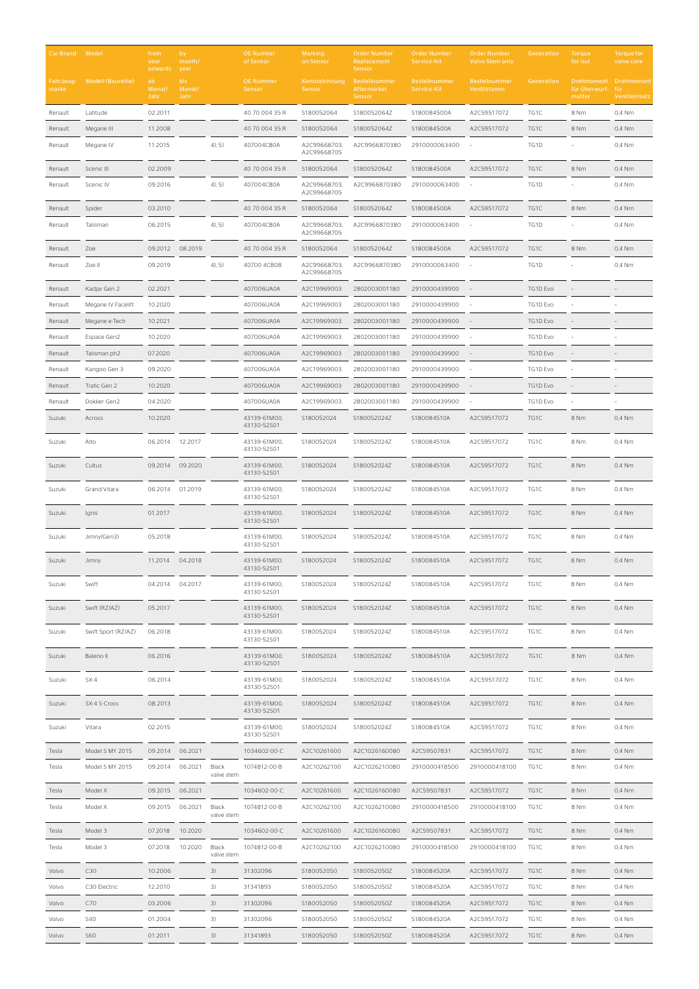| <b>Car Brand Model</b> |                     | from<br>year<br>onwards | by<br>month/<br>year   |                     | <b>OE Number</b><br>of Sensor | <b>Marking</b><br>on Sensor | <b>Order Number</b><br>Replacement<br>Sensor | <b>Order Number</b><br>Service-Kit | <b>Order Number</b><br><b>Valve Stem only</b> | Generation | <b>Torque</b><br>for nut | <b>Torque for</b><br>valve core               |
|------------------------|---------------------|-------------------------|------------------------|---------------------|-------------------------------|-----------------------------|----------------------------------------------|------------------------------------|-----------------------------------------------|------------|--------------------------|-----------------------------------------------|
| Fahrzeug-<br>marke     | Modell (Baureihe)   | ab<br>Monat/<br>Jahr    | bis.<br>Monat/<br>Jahr |                     | <b>OE Nummer</b><br>Sensor    | Kennzeichnung<br>Sensor     | Bestellnummer<br>Aftermarket<br>Sensor       | Bestellnummer<br>Service-Kit       | <b>Bestellnummer</b><br>Ventilstamm           | Generation | für Überwurf-<br>mutter  | Drehmoment Drehmoment<br>für<br>Ventileinsatz |
| Renault                | Latitude            | 02.2011                 |                        |                     | 40 70 004 35 R                | S180052064                  | S180052064Z                                  | S180084500A                        | A2C59517072                                   | TG1C       | 8 Nm                     | 0,4 Nm                                        |
| Renault                | Megane III          | 11.2008                 |                        |                     | 40 70 004 35 R                | S180052064                  | S180052064Z                                  | S180084500A                        | A2C59517072                                   | TG1C       | 8 Nm                     | 0,4 Nm                                        |
| Renault                | Megane IV           | 11.2015                 |                        | $4)$ , 5)           | 407004CB0A                    | A2C99668703,<br>A2C99668705 | A2C9966870380                                | 2910000063400                      |                                               | TG1D       |                          | 0,4 Nm                                        |
| Renault                | Scenic III          | 02.2009                 |                        |                     | 40 70 004 35 R                | S180052064                  | S180052064Z                                  | S180084500A                        | A2C59517072                                   | TG1C       | 8 Nm                     | 0,4 Nm                                        |
| Renault                | Scenic IV           | 09.2016                 |                        | 4, 5)               | 407004CB0A                    | A2C99668703,<br>A2C99668705 | A2C9966870380                                | 2910000063400                      |                                               | TG1D       |                          | 0,4 Nm                                        |
| Renault                | Spider              | 03.2010                 |                        |                     | 40 70 004 35 R                | S180052064                  | S180052064Z                                  | S180084500A                        | A2C59517072                                   | TG1C       | 8 Nm                     | 0,4 Nm                                        |
| Renault                | Talisman            | 06.2015                 |                        | 4, 5)               | 407004CB0A                    | A2C99668703,<br>A2C99668705 | A2C9966870380                                | 2910000063400                      |                                               | TG1D       |                          | 0,4 Nm                                        |
| Renault                | Zoe                 | 09.2012                 | 08.2019                |                     | 40 70 004 35 R                | S180052064                  | S180052064Z                                  | S180084500A                        | A2C59517072                                   | TG1C       | 8 Nm                     | 0,4 Nm                                        |
| Renault                | Zoe II              | 09.2019                 |                        | 4, 5)               | 40700 4CB0B                   | A2C99668703.<br>A2C99668705 | A2C9966870380                                | 2910000063400                      |                                               | TG1D       |                          | 0,4 Nm                                        |
| Renault                | Kadjar Gen 2        | 02.2021                 |                        |                     | 407006UA0A                    | A2C19969003                 | 2802003001180                                | 2910000439900                      |                                               | TG1D Evo   |                          |                                               |
| Renault                | Megane IV Facelift  | 10.2020                 |                        |                     | 407006UA0A                    | A2C19969003                 | 2802003001180                                | 2910000439900                      |                                               | TG1D Evo   |                          |                                               |
| Renault                | Megane e-Tech       | 10.2021                 |                        |                     | 407006UA0A                    | A2C19969003                 | 2802003001180                                | 2910000439900                      |                                               | TG1D Evo   |                          |                                               |
| Renault                | Espace Gen2         | 10.2020                 |                        |                     | 407006UA0A                    | A2C19969003                 | 2802003001180                                | 2910000439900                      |                                               | TG1D Evo   |                          |                                               |
| Renault                | Talisman ph2        | 07.2020                 |                        |                     | 407006UA0A                    | A2C19969003                 | 2802003001180                                | 2910000439900                      |                                               | TG1D Evo   |                          |                                               |
| Renault                | Kangoo Gen 3        | 09.2020                 |                        |                     | 407006UA0A                    | A2C19969003                 | 2802003001180                                | 2910000439900                      |                                               | TG1D Evo   |                          |                                               |
| Renault                | Trafic Gen 2        | 10.2020                 |                        |                     | 407006UA0A                    | A2C19969003                 | 2802003001180                                | 2910000439900                      |                                               | TG1D Evo   |                          |                                               |
| Renault                | Dokker Gen2         | 04.2020                 |                        |                     | 407006UA0A                    | A2C19969003                 | 2802003001180                                | 2910000439900                      |                                               | TG1D Evo   |                          |                                               |
| Suzuki                 | Across              | 10.2020                 |                        |                     | 43139-61M00,<br>43130-52S01   | S180052024                  | S180052024Z                                  | S180084510A                        | A2C59517072                                   | TG1C       | 8 Nm                     | 0,4 Nm                                        |
| Suzuki                 | Alto                | 06.2014 12.2017         |                        |                     | 43139-61M00,<br>43130-52S01   | S180052024                  | S180052024Z                                  | S180084510A                        | A2C59517072                                   | TG1C       | 8 Nm                     | 0,4 Nm                                        |
| Suzuki                 | Cultus              | 09.2014                 | 09.2020                |                     | 43139-61M00,<br>43130-52S01   | S180052024                  | S180052024Z                                  | S180084510A                        | A2C59517072                                   | TG1C       | 8 Nm                     | 0,4 Nm                                        |
| Suzuki                 | Grand Vitara        | 06.2014                 | 01.2019                |                     | 43139-61M00,<br>43130-52S01   | S180052024                  | S180052024Z                                  | S180084510A                        | A2C59517072                                   | TG1C       | 8 Nm                     | 0,4 Nm                                        |
| Suzuki                 | Ignis               | 01.2017                 |                        |                     | 43139-61M00,<br>43130-52S01   | S180052024                  | S180052024Z                                  | S180084510A                        | A2C59517072                                   | TG1C       | 8 Nm                     | 0,4 Nm                                        |
| Suzuki                 | Jimny(Gen3)         | 05.2018                 |                        |                     | 43139-61M00,<br>43130-52S01   | S180052024                  | S180052024Z                                  | S180084510A                        | A2C59517072                                   | TG1C       | 8 Nm                     | 0,4 Nm                                        |
| Suzuki                 | Jimny               | 11.2014 04.2018         |                        |                     | 43139-61M00,<br>43130-52S01   | S180052024                  | S180052024Z                                  | S180084510A                        | A2C59517072                                   | TG1C       | 8 Nm                     | $0.4$ Nm                                      |
| Suzuki                 | Swift               | 04.2014 04.2017         |                        |                     | 43139-61M00,<br>43130-52S01   | S180052024                  | S180052024Z                                  | S180084510A                        | A2C59517072                                   | TG1C       | 8 Nm                     | 0,4 Nm                                        |
| Suzuki                 | Swift (RZ/AZ)       | 05.2017                 |                        |                     | 43139-61M00,<br>43130-52S01   | S180052024                  | S180052024Z                                  | S180084510A                        | A2C59517072                                   | TG1C       | 8 Nm                     | 0,4 Nm                                        |
| Suzuki                 | Swift Sport (RZ/AZ) | 06.2018                 |                        |                     | 43139-61M00,<br>43130-52S01   | S180052024                  | S180052024Z                                  | S180084510A                        | A2C59517072                                   | TG1C       | 8 Nm                     | 0,4 Nm                                        |
| Suzuki                 | Baleno II           | 06.2016                 |                        |                     | 43139-61M00,<br>43130-52S01   | S180052024                  | S180052024Z                                  | S180084510A                        | A2C59517072                                   | TG1C       | 8 Nm                     | 0,4 Nm                                        |
| Suzuki                 | $SX-4$              | 06.2014                 |                        |                     | 43139-61M00,<br>43130-52S01   | S180052024                  | S180052024Z                                  | S180084510A                        | A2C59517072                                   | TG1C       | 8 Nm                     | 0,4 Nm                                        |
| Suzuki                 | SX-4 S-Cross        | 08.2013                 |                        |                     | 43139-61M00,<br>43130-52S01   | S180052024                  | S180052024Z                                  | S180084510A                        | A2C59517072                                   | TG1C       | 8 Nm                     | 0,4 Nm                                        |
| Suzuki                 | Vitara              | 02.2015                 |                        |                     | 43139-61M00,<br>43130-52S01   | S180052024                  | S180052024Z                                  | S180084510A                        | A2C59517072                                   | TG1C       | 8 Nm                     | 0,4 Nm                                        |
| Tesla                  | Model S MY 2015     | 09.2014                 | 06.2021                |                     | 1034602-00-C                  | A2C10261600                 | A2C1026160080                                | A2C59507831                        | A2C59517072                                   | TG1C       | 8 Nm                     | 0,4 Nm                                        |
| Tesla                  | Model S MY 2015     | 09.2014                 | 06.2021                | Black<br>valve stem | 1074812-00-B                  | A2C10262100                 | A2C1026210080                                | 2910000418500                      | 2910000418100                                 | TG1C       | 8 Nm                     | 0,4 Nm                                        |
| Tesla                  | Model X             | 09.2015                 | 06.2021                |                     | 1034602-00-C                  | A2C10261600                 | A2C1026160080                                | A2C59507831                        | A2C59517072                                   | TG1C       | 8 Nm                     | 0,4 Nm                                        |
| Tesla                  | Model X             | 09.2015                 | 06.2021                | Black<br>valve stem | 1074812-00-B                  | A2C10262100                 | A2C1026210080                                | 2910000418500                      | 2910000418100                                 | TG1C       | 8 Nm                     | 0,4 Nm                                        |
| Tesla                  | Model 3             | 07.2018                 | 10.2020                |                     | 1034602-00-C                  | A2C10261600                 | A2C1026160080                                | A2C59507831                        | A2C59517072                                   | TG1C       | 8 Nm                     | 0,4 Nm                                        |
| Tesla                  | Model 3             | 07.2018                 | 10.2020                | Black<br>valve stem | 1074812-00-B                  | A2C10262100                 | A2C1026210080                                | 2910000418500                      | 2910000418100                                 | TG1C       | 8 Nm                     | 0,4 Nm                                        |
| Volvo                  | C30                 | 10.2006                 |                        | 3)                  | 31302096                      | S180052050                  | S180052050Z                                  | S180084520A                        | A2C59517072                                   | TG1C       | 8 Nm                     | 0,4 Nm                                        |
| Volvo                  | C30 Electric        | 12.2010                 |                        | 3)                  | 31341893                      | S180052050                  | S180052050Z                                  | S180084520A                        | A2C59517072                                   | TG1C       | 8 Nm                     | 0,4 Nm                                        |
| Volvo                  | C70                 | 03.2006                 |                        | 3)                  | 31302096                      | S180052050                  | S180052050Z                                  | S180084520A                        | A2C59517072                                   | TG1C       | 8 Nm                     | 0,4 Nm                                        |
| Volvo                  | <b>S40</b>          | 01.2004                 |                        | 3)                  | 31302096                      | S180052050                  | S180052050Z                                  | S180084520A                        | A2C59517072                                   | TG1C       | 8 Nm                     | 0,4 Nm                                        |
| Volvo                  | S60                 | 01.2011                 |                        | 3)                  | 31341893                      | S180052050                  | S180052050Z                                  | S180084520A                        | A2C59517072                                   | TG1C       | 8 Nm                     | 0,4 Nm                                        |